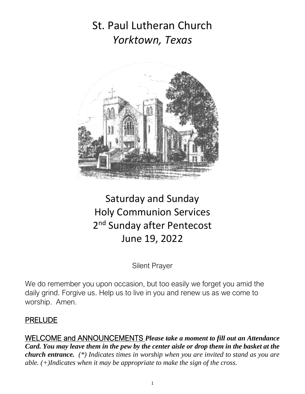# St. Paul Lutheran Church *Yorktown, Texas*



# Saturday and Sunday Holy Communion Services 2<sup>nd</sup> Sunday after Pentecost June 19, 2022

Silent Prayer

We do remember you upon occasion, but too easily we forget you amid the daily grind. Forgive us. Help us to live in you and renew us as we come to worship. Amen.

#### PRELUDE

WELCOME and ANNOUNCEMENTS *Please take a moment to fill out an Attendance Card. You may leave them in the pew by the center aisle or drop them in the basket at the church entrance. (\*) Indicates times in worship when you are invited to stand as you are able. (+)Indicates when it may be appropriate to make the sign of the cross.*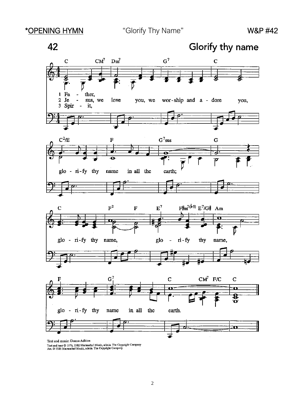

Text and music; Domna Aukins<br>Text and tune © 1976, 1981 Maranatha! Music, admin. The Copyright Company<br>Art. © 1986 Maranatha! Music, admin. The Copyright Company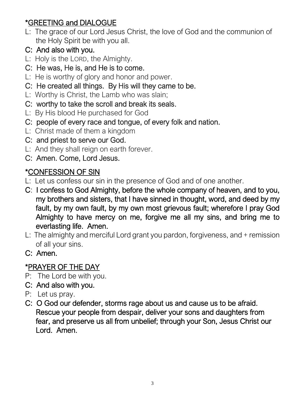# \*GREETING and DIALOGUE

- L: The grace of our Lord Jesus Christ, the love of God and the communion of the Holy Spirit be with you all.
- C: And also with you.
- L: Holy is the LORD, the Almighty.
- C: He was, He is, and He is to come.
- L: He is worthy of glory and honor and power.
- C: He created all things. By His will they came to be.
- L: Worthy is Christ, the Lamb who was slain;
- C: worthy to take the scroll and break its seals.
- L: By His blood He purchased for God
- C: people of every race and tongue, of every folk and nation.
- L: Christ made of them a kingdom
- C: and priest to serve our God.
- L: And they shall reign on earth forever.
- C: Amen. Come, Lord Jesus.

# \*CONFESSION OF SIN

- L: Let us confess our sin in the presence of God and of one another.
- C: I confess to God Almighty, before the whole company of heaven, and to you, my brothers and sisters, that I have sinned in thought, word, and deed by my fault, by my own fault, by my own most grievous fault; wherefore I pray God Almighty to have mercy on me, forgive me all my sins, and bring me to everlasting life. Amen.
- L: The almighty and merciful Lord grant you pardon, forgiveness, and + remission of all your sins.
- C: Amen.

# \*PRAYER OF THE DAY

- P: The Lord be with you.
- C: And also with you.
- P: Let us pray.
- C: O God our defender, storms rage about us and cause us to be afraid. Rescue your people from despair, deliver your sons and daughters from fear, and preserve us all from unbelief; through your Son, Jesus Christ our Lord. Amen.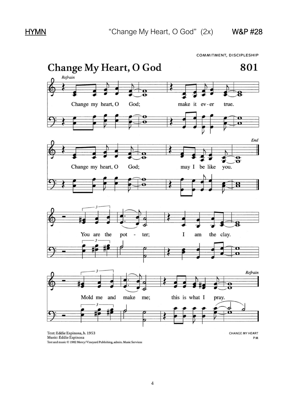COMMITMENT, DISCIPLESHIP

![](_page_3_Figure_4.jpeg)

Music: Eddie Espinosa Text and music © 1982 Mercy/Vineyard Publishing, admin. Music Services PM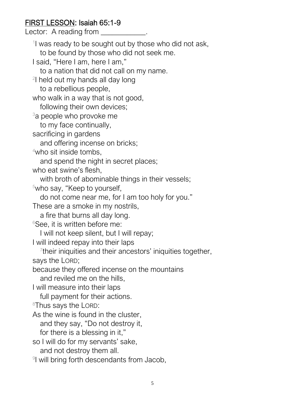# FIRST LESSON: Isaiah 65:1-9

Lector: A reading from \_\_\_\_\_\_\_\_\_\_\_\_.

<sup>1</sup>l was ready to be sought out by those who did not ask, to be found by those who did not seek me. I said, "Here I am, here I am," to a nation that did not call on my name. <sup>2</sup>l held out my hands all day long to a rebellious people, who walk in a way that is not good, following their own devices; <sup>3</sup>a people who provoke me to my face continually, sacrificing in gardens and offering incense on bricks;  $4$ who sit inside tombs, and spend the night in secret places; who eat swine's flesh, with broth of abominable things in their vessels; <sup>5</sup>who say, "Keep to yourself, do not come near me, for I am too holy for you." These are a smoke in my nostrils, a fire that burns all day long.  $6$ See, it is written before me: I will not keep silent, but I will repay; I will indeed repay into their laps <sup>7</sup>their iniquities and their ancestors' iniquities together, says the LORD; because they offered incense on the mountains and reviled me on the hills, I will measure into their laps full payment for their actions. 8Thus says the LORD: As the wine is found in the cluster, and they say, "Do not destroy it, for there is a blessing in it," so I will do for my servants' sake, and not destroy them all. 9 I will bring forth descendants from Jacob,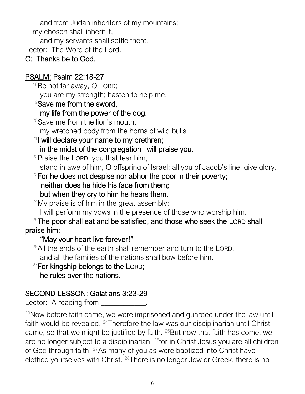and from Judah inheritors of my mountains; my chosen shall inherit it, and my servants shall settle there.

Lector: The Word of the Lord.

# C: Thanks be to God.

# PSALM: Psalm 22:18-27

 $18$ Be not far away, O LORD; you are my strength; hasten to help me.

 $19$ Save me from the sword,

# my life from the power of the dog.

 $20$ Save me from the lion's mouth,

my wretched body from the horns of wild bulls.

# $21$  will declare your name to my brethren; in the midst of the congregation I will praise you.

<sup>22</sup>Praise the LORD, you that fear him;

stand in awe of him, O offspring of Israel; all you of Jacob's line, give glory.

 $23$ For he does not despise nor abhor the poor in their poverty;

# neither does he hide his face from them;

but when they cry to him he hears them.

 $24$ My praise is of him in the great assembly;

I will perform my vows in the presence of those who worship him.

### $25$ The poor shall eat and be satisfied, and those who seek the LORD shall praise him:

# "May your heart live forever!"

 $26$ All the ends of the earth shall remember and turn to the LORD, and all the families of the nations shall bow before him.

# $27$ For kingship belongs to the LORD; he rules over the nations.

# SECOND LESSON: Galatians 3:23-29

Lector: A reading from Fig. 2.

 $23$ Now before faith came, we were imprisoned and quarded under the law until faith would be revealed. <sup>24</sup>Therefore the law was our disciplinarian until Christ came, so that we might be justified by faith.  $25$ But now that faith has come, we are no longer subject to a disciplinarian, <sup>26</sup>for in Christ Jesus you are all children of God through faith. <sup>27</sup>As many of you as were baptized into Christ have clothed yourselves with Christ. 28There is no longer Jew or Greek, there is no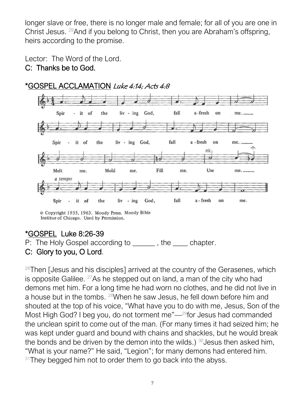longer slave or free, there is no longer male and female; for all of you are one in Christ Jesus. <sup>29</sup>And if you belong to Christ, then you are Abraham's offspring, heirs according to the promise.

Lector: The Word of the Lord.

#### C: Thanks be to God.

![](_page_6_Figure_3.jpeg)

\*GOSPEL ACCLAMATION Luke 4:14; Acts 4:8

# \*GOSPEL Luke 8:26-39

P: The Holy Gospel according to \_\_\_\_\_, the \_\_\_ chapter.

# C: Glory to you, O Lord.

 $26$ Then [Jesus and his disciples] arrived at the country of the Gerasenes, which is opposite Galilee.  $27$ As he stepped out on land, a man of the city who had demons met him. For a long time he had worn no clothes, and he did not live in a house but in the tombs. <sup>28</sup>When he saw Jesus, he fell down before him and shouted at the top of his voice, "What have you to do with me, Jesus, Son of the Most High God? I beg you, do not torment me"—<sup>29</sup>for Jesus had commanded the unclean spirit to come out of the man. (For many times it had seized him; he was kept under guard and bound with chains and shackles, but he would break the bonds and be driven by the demon into the wilds.)  $30$  Jesus then asked him, "What is your name?" He said, "Legion"; for many demons had entered him.  $31$ They begged him not to order them to go back into the abyss.

<sup>©</sup> Copyright 1935, 1963. Moody Press. Moody Bible Institue of Chicago. Used by Permission.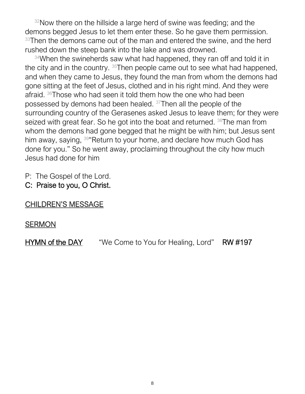$32$ Now there on the hillside a large herd of swine was feeding; and the demons begged Jesus to let them enter these. So he gave them permission. <sup>33</sup>Then the demons came out of the man and entered the swine, and the herd rushed down the steep bank into the lake and was drowned.

 $34$ When the swineherds saw what had happened, they ran off and told it in the city and in the country. <sup>35</sup>Then people came out to see what had happened, and when they came to Jesus, they found the man from whom the demons had gone sitting at the feet of Jesus, clothed and in his right mind. And they were afraid. <sup>36</sup>Those who had seen it told them how the one who had been possessed by demons had been healed. <sup>37</sup>Then all the people of the surrounding country of the Gerasenes asked Jesus to leave them; for they were seized with great fear. So he got into the boat and returned. <sup>38</sup>The man from whom the demons had gone begged that he might be with him; but Jesus sent him away, saying, <sup>39"</sup>Return to your home, and declare how much God has done for you." So he went away, proclaiming throughout the city how much Jesus had done for him

P: The Gospel of the Lord.

C: Praise to you, O Christ.

#### CHILDREN'S MESSAGE

#### SERMON

HYMN of the DAY "We Come to You for Healing, Lord" RW #197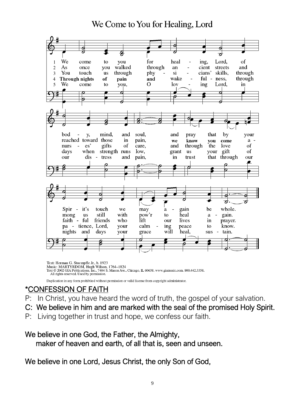We Come to You for Healing, Lord

![](_page_8_Picture_1.jpeg)

Text: Herman G. Stuempfle Jr., b. 1923 Nusic: MARTYRDOM, Hugh Wilson, 1764–1824<br>Text © 2002 GIA Publications, Inc., 7404 S. Mason Ave., Chicago, IL 60638. www.giamusic.com. 800.442.3358. All rights reserved. Used by permission.

Duplication in any form prohibited without permission or valid license from copyright administrator.

#### \*CONFESSION OF FAITH

- P: In Christ, you have heard the word of truth, the gospel of your salvation.
- C: We believe in him and are marked with the seal of the promised Holy Spirit.
- P: Living together in trust and hope, we confess our faith.

#### We believe in one God, the Father, the Almighty, maker of heaven and earth, of all that is, seen and unseen.

We believe in one Lord, Jesus Christ, the only Son of God,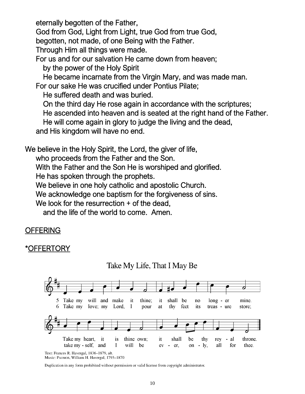eternally begotten of the Father,

God from God, Light from Light, true God from true God,

begotten, not made, of one Being with the Father.

Through Him all things were made.

For us and for our salvation He came down from heaven;

by the power of the Holy Spirit

He became incarnate from the Virgin Mary, and was made man.

For our sake He was crucified under Pontius Pilate;

He suffered death and was buried.

On the third day He rose again in accordance with the scriptures;

He ascended into heaven and is seated at the right hand of the Father.

He will come again in glory to judge the living and the dead,

and His kingdom will have no end.

We believe in the Holy Spirit, the Lord, the giver of life,

who proceeds from the Father and the Son.

With the Father and the Son He is worshiped and glorified.

He has spoken through the prophets.

We believe in one holy catholic and apostolic Church.

We acknowledge one baptism for the forgiveness of sins.

We look for the resurrection + of the dead,

and the life of the world to come. Amen.

# **OFFERING**

# )FFERTORY

![](_page_9_Figure_23.jpeg)

![](_page_9_Figure_24.jpeg)

Text: Frances R. Havergal, 1836-1879, alt. Music: PATMOS, William H. Havergal, 1793-1870

Duplication in any form prohibited without permission or valid license from copyright administrator.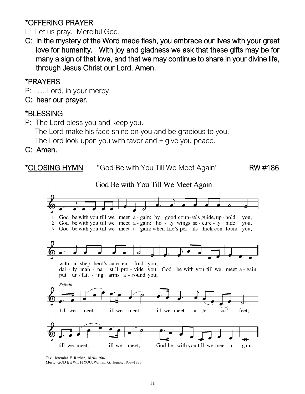# \*OFFERING PRAYER

- L: Let us pray. Merciful God,
- C: in the mystery of the Word made flesh, you embrace our lives with your great love for humanity. With joy and gladness we ask that these gifts may be for many a sign of that love, and that we may continue to share in your divine life, through Jesus Christ our Lord. Amen.

#### \*PRAYERS

- P: … Lord, in your mercy,
- C: hear our prayer.

#### \*BLESSING

P: The Lord bless you and keep you.

The Lord make his face shine on you and be gracious to you.

The Lord look upon you with favor and + give you peace.

C: Amen.

\*CLOSING HYMN "God Be with You Till We Meet Again" RW #186

God Be with You Till We Meet Again

![](_page_10_Figure_14.jpeg)

Text: Jeremiah E. Rankin, 1828-1904

Music: GOD BE WITH YOU, William G. Tomer, 1833-1896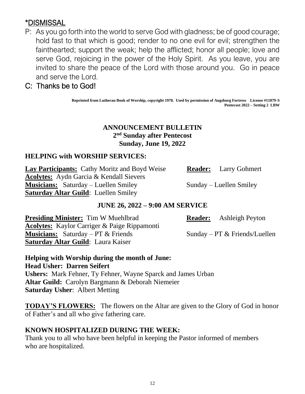# \*DISMISSAL

P: As you go forth into the world to serve God with gladness; be of good courage; hold fast to that which is good; render to no one evil for evil; strengthen the fainthearted; support the weak; help the afflicted; honor all people; love and serve God, rejoicing in the power of the Holy Spirit. As you leave, you are invited to share the peace of the Lord with those around you. Go in peace and serve the Lord.

#### C: Thanks be to God!

**Reprinted from Lutheran Book of Worship, copyright 1978. Used by permission of Augsburg Fortress License #11879-S Pentecost 2022 – Setting 2 LBW** 

#### **ANNOUNCEMENT BULLETIN 2 nd Sunday after Pentecost Sunday, June 19, 2022**

#### **HELPING with WORSHIP SERVICES:**

**Lay Participants:** Cathy Moritz and Boyd Weise **Reader:** Larry Gohmert **Acolytes:** Aydn Garcia & Kendall Sievers **Musicians:** Saturday – Luellen Smiley Sunday – Luellen Smiley **Saturday Altar Guild**: Luellen Smiley

#### **JUNE 26, 2022 – 9:00 AM SERVICE**

**Presiding Minister:** Tim W Muehlbrad **Reader:** Ashleigh Peyton **Acolytes:** Kaylor Carriger & Paige Rippamonti **Musicians:** Saturday – PT & Friends Sunday – PT & Friends/Luellen **Saturday Altar Guild**: Laura Kaiser

**Helping with Worship during the month of June: Head Usher: Darren Seifert Ushers:** Mark Fehner, Ty Fehner, Wayne Sparck and James Urban **Altar Guild:** Carolyn Bargmann & Deborah Niemeier **Saturday Usher**: Albert Metting

**TODAY'S FLOWERS:** The flowers on the Altar are given to the Glory of God in honor of Father's and all who give fathering care.

#### **KNOWN HOSPITALIZED DURING THE WEEK:**

Thank you to all who have been helpful in keeping the Pastor informed of members who are hospitalized.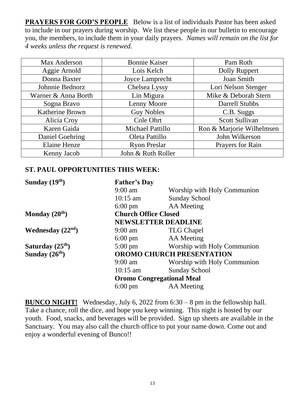**PRAYERS FOR GOD'S PEOPLE** Below is a list of individuals Pastor has been asked to include in our prayers during worship. We list these people in our bulletin to encourage you, the members, to include them in your daily prayers. *Names will remain on the list for 4 weeks unless the request is renewed.*

| Max Anderson           | <b>Bonnie Kaiser</b> | Pam Roth                  |
|------------------------|----------------------|---------------------------|
| Aggie Arnold           | Lois Kelch           | Dolly Ruppert             |
| Donna Baxter           | Joyce Lamprecht      | Joan Smith                |
| Johnnie Bednorz        | Chelsea Lyssy        | Lori Nelson Stenger       |
| Warner & Anna Borth    | Lin Migura           | Mike & Deborah Stern      |
| Sogna Bravo            | Lenny Moore          | Darrell Stubbs            |
| <b>Katherine Brown</b> | <b>Guy Nobles</b>    | C.B. Suggs                |
| Alicia Croy            | Cole Ohrt            | Scott Sullivan            |
| Karen Gaida            | Michael Pattillo     | Ron & Marjorie Wilhelmsen |
| Daniel Goehring        | Oleta Pattillo       | John Wilkerson            |
| <b>Elaine Henze</b>    | <b>Ryon Preslar</b>  | Prayers for Rain          |
| Kenny Jacob            | John & Ruth Roller   |                           |

#### **ST. PAUL OPPORTUNITIES THIS WEEK:**

| Sunday $(19th)$    | <b>Father's Day</b>                                       |                             |
|--------------------|-----------------------------------------------------------|-----------------------------|
|                    | $9:00 \text{ am}$                                         | Worship with Holy Communion |
|                    | $10:15$ am                                                | <b>Sunday School</b>        |
|                    | $6:00 \text{ pm}$                                         | AA Meeting                  |
| Monday $(20th)$    | <b>Church Office Closed</b><br><b>NEWSLETTER DEADLINE</b> |                             |
|                    |                                                           |                             |
| Wednesday $(22nd)$ | $9:00 \text{ am}$                                         | <b>TLG Chapel</b>           |
|                    | $6:00 \text{ pm}$                                         | AA Meeting                  |
| Saturday $(25th)$  | $5:00 \text{ pm}$                                         | Worship with Holy Communion |
| Sunday $(26th)$    | <b>OROMO CHURCH PRESENTATION</b>                          |                             |
|                    | $9:00$ am                                                 | Worship with Holy Communion |
|                    | $10:15$ am                                                | <b>Sunday School</b>        |
|                    | <b>Oromo Congregational Meal</b>                          |                             |
|                    | $6:00 \text{ pm}$                                         | AA Meeting                  |

**BUNCO NIGHT!** Wednesday, July 6, 2022 from 6:30 – 8 pm in the fellowship hall. Take a chance, roll the dice, and hope you keep winning. This night is hosted by our youth. Food, snacks, and beverages will be provided. Sign up sheets are available in the Sanctuary. You may also call the church office to put your name down. Come out and enjoy a wonderful evening of Bunco!!